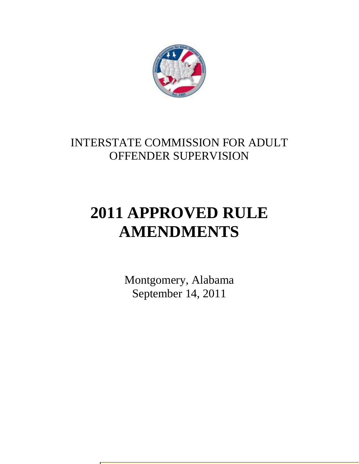

## INTERSTATE COMMISSION FOR ADULT OFFENDER SUPERVISION

# **2011 APPROVED RULE AMENDMENTS**

Montgomery, Alabama September 14, 2011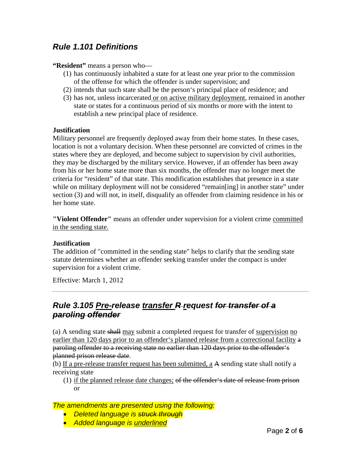## *Rule 1.101 Definitions*

#### **"Resident"** means a person who—

- (1) has continuously inhabited a state for at least one year prior to the commission of the offense for which the offender is under supervision; and
- (2) intends that such state shall be the person's principal place of residence; and
- (3) has not, unless incarcerated or on active military deployment, remained in another state or states for a continuous period of six months or more with the intent to establish a new principal place of residence.

#### **Justification**

Military personnel are frequently deployed away from their home states. In these cases, location is not a voluntary decision. When these personnel are convicted of crimes in the states where they are deployed, and become subject to supervision by civil authorities, they may be discharged by the military service. However, if an offender has been away from his or her home state more than six months, the offender may no longer meet the criteria for "resident" of that state. This modification establishes that presence in a state while on military deployment will not be considered "remain[ing] in another state" under section (3) and will not, in itself, disqualify an offender from claiming residence in his or her home state.

**"Violent Offender"** means an offender under supervision for a violent crime committed in the sending state.

#### **Justification**

The addition of "committed in the sending state" helps to clarify that the sending state statute determines whether an offender seeking transfer under the compact is under supervision for a violent crime.

Effective: March 1, 2012

## *Rule 3.105 Pre-release transfer R request for transfer of a paroling offender*

(a) A sending state shall may submit a completed request for transfer of supervision no earlier than 120 days prior to an offender's planned release from a correctional facility a paroling offender to a receiving state no earlier than 120 days prior to the offender's planned prison release date.

(b) If a pre-release transfer request has been submitted, a A sending state shall notify a receiving state

(1) if the planned release date changes; of the offender's date of release from prison or

- *Deleted language is struck through*
- *Added language is underlined*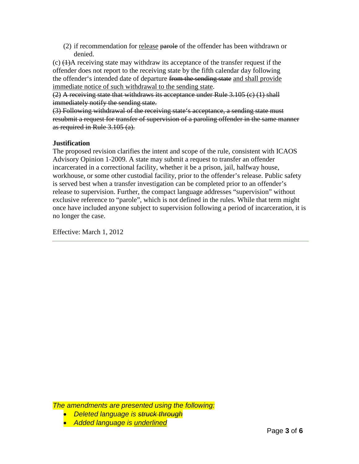(2) if recommendation for release parole of the offender has been withdrawn or denied.

 $(c)$   $(1)$ A receiving state may withdraw its acceptance of the transfer request if the offender does not report to the receiving state by the fifth calendar day following the offender's intended date of departure from the sending state and shall provide immediate notice of such withdrawal to the sending state.

(2) A receiving state that withdraws its acceptance under Rule 3.105 (c) (1) shall immediately notify the sending state.

(3) Following withdrawal of the receiving state's acceptance, a sending state must resubmit a request for transfer of supervision of a paroling offender in the same manner as required in Rule 3.105 (a).

## **Justification**

The proposed revision clarifies the intent and scope of the rule, consistent with ICAOS Advisory Opinion 1-2009. A state may submit a request to transfer an offender incarcerated in a correctional facility, whether it be a prison, jail, halfway house, workhouse, or some other custodial facility, prior to the offender's release. Public safety is served best when a transfer investigation can be completed prior to an offender's release to supervision. Further, the compact language addresses "supervision" without exclusive reference to "parole", which is not defined in the rules. While that term might once have included anyone subject to supervision following a period of incarceration, it is no longer the case.

Effective: March 1, 2012

- *Deleted language is struck through*
- *Added language is underlined*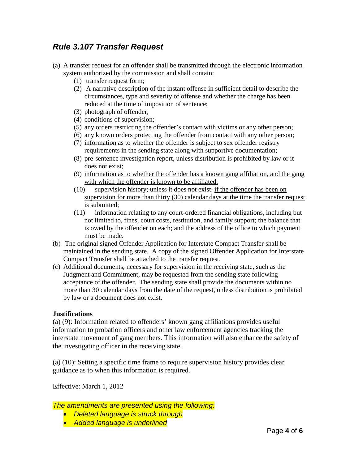## *Rule 3.107 Transfer Request*

- (a) A transfer request for an offender shall be transmitted through the electronic information system authorized by the commission and shall contain:
	- (1) transfer request form;
	- (2) A narrative description of the instant offense in sufficient detail to describe the circumstances, type and severity of offense and whether the charge has been reduced at the time of imposition of sentence;
	- (3) photograph of offender;
	- (4) conditions of supervision;
	- (5) any orders restricting the offender's contact with victims or any other person;
	- (6) any known orders protecting the offender from contact with any other person;
	- (7) information as to whether the offender is subject to sex offender registry requirements in the sending state along with supportive documentation;
	- (8) pre-sentence investigation report, unless distribution is prohibited by law or it does not exist;
	- (9) information as to whether the offender has a known gang affiliation, and the gang with which the offender is known to be affiliated;
	- (10) supervision history; unless it does not exist. if the offender has been on supervision for more than thirty (30) calendar days at the time the transfer request is submitted;
	- (11) information relating to any court-ordered financial obligations, including but not limited to, fines, court costs, restitution, and family support; the balance that is owed by the offender on each; and the address of the office to which payment must be made.
- (b) The original signed Offender Application for Interstate Compact Transfer shall be maintained in the sending state. A copy of the signed Offender Application for Interstate Compact Transfer shall be attached to the transfer request.
- (c) Additional documents, necessary for supervision in the receiving state, such as the Judgment and Commitment, may be requested from the sending state following acceptance of the offender. The sending state shall provide the documents within no more than 30 calendar days from the date of the request, unless distribution is prohibited by law or a document does not exist.

### **Justifications**

(a) (9): Information related to offenders' known gang affiliations provides useful information to probation officers and other law enforcement agencies tracking the interstate movement of gang members. This information will also enhance the safety of the investigating officer in the receiving state.

(a) (10): Setting a specific time frame to require supervision history provides clear guidance as to when this information is required.

Effective: March 1, 2012

- *Deleted language is struck through*
- *Added language is underlined*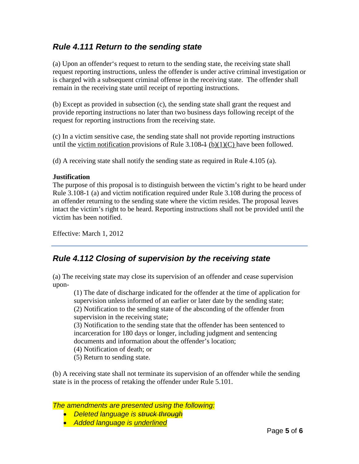## *Rule 4.111 Return to the sending state*

(a) Upon an offender's request to return to the sending state, the receiving state shall request reporting instructions, unless the offender is under active criminal investigation or is charged with a subsequent criminal offense in the receiving state. The offender shall remain in the receiving state until receipt of reporting instructions.

(b) Except as provided in subsection (c), the sending state shall grant the request and provide reporting instructions no later than two business days following receipt of the request for reporting instructions from the receiving state.

(c) In a victim sensitive case, the sending state shall not provide reporting instructions until the victim notification provisions of Rule  $3.108\text{--}1$  (b)(1)(C) have been followed.

(d) A receiving state shall notify the sending state as required in Rule 4.105 (a).

### **Justification**

The purpose of this proposal is to distinguish between the victim's right to be heard under Rule 3.108-1 (a) and victim notification required under Rule 3.108 during the process of an offender returning to the sending state where the victim resides. The proposal leaves intact the victim's right to be heard. Reporting instructions shall not be provided until the victim has been notified.

Effective: March 1, 2012

## *Rule 4.112 Closing of supervision by the receiving state*

(a) The receiving state may close its supervision of an offender and cease supervision upon-

(1) The date of discharge indicated for the offender at the time of application for supervision unless informed of an earlier or later date by the sending state; (2) Notification to the sending state of the absconding of the offender from supervision in the receiving state;

(3) Notification to the sending state that the offender has been sentenced to incarceration for 180 days or longer, including judgment and sentencing documents and information about the offender's location;

(4) Notification of death; or

(5) Return to sending state.

(b) A receiving state shall not terminate its supervision of an offender while the sending state is in the process of retaking the offender under Rule 5.101.

- *Deleted language is struck through*
- *Added language is underlined*